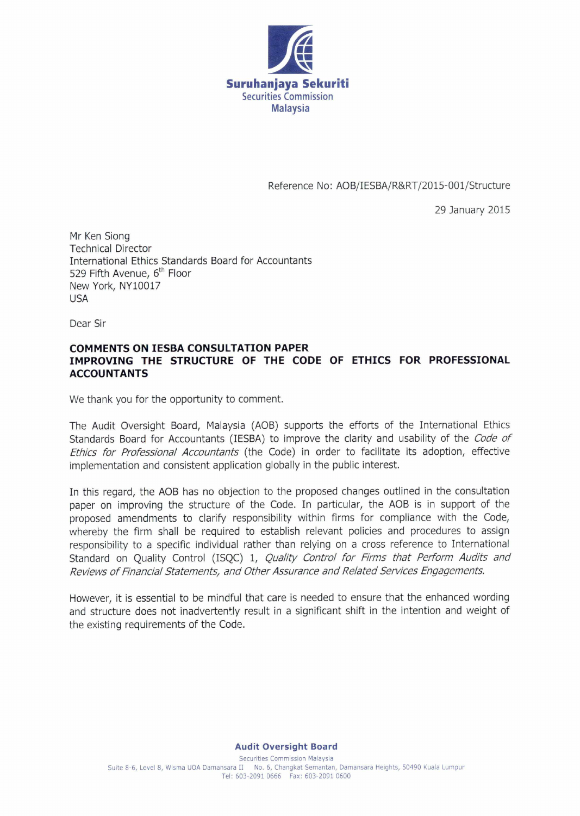

Reference No: A0B/IESBA/R&RT/2015-001/Structure

29 January 2015

Mr Ken Siong Technical Director International Ethics Standards Board for Accountants 529 Fifth Avenue, 6<sup>th</sup> Floor New York, NY10017 USA

Dear Sir

## **COMMENTS ON IESBA CONSULTATION PAPER IMPROVING THE STRUCTURE OF THE CODE OF ETHICS FOR PROFESSIONAL ACCOUNTANTS**

We thank you for the opportunity to comment.

The Audit Oversight Board, Malaysia (AOB) supports the efforts of the International Ethics Standards Board for Accountants (IESBA) to improve the clarity and usability of the *Code of Ethics for Professional Accountants* (the Code) in order to facilitate its adoption, effective implementation and consistent application globally in the public interest.

In this regard, the AOB has no objection to the proposed changes outlined in the consultation paper on improving the structure of the Code. In particular, the AOB is in support of the proposed amendments to clarify responsibility within firms for compliance with the Code, whereby the firm shall be required to establish relevant policies and procedures to assign responsibility to a specific individual rather than relying on a cross reference to International Standard on Quality Control (ISQC) 1, *Quality Control for Firms that Perform Audits and Reviews of Financial Statements, and Other Assurance and Related Services Engagements.* 

However, it is essential to be mindful that care is needed to ensure that the enhanced wording and structure does not inadvertently result in a significant shift in the intention and weight of the existing requirements of the Code.

## **Audit Oversight Board**